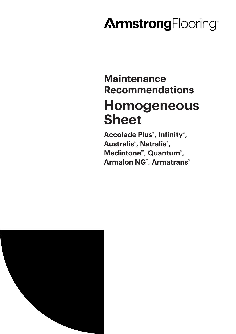# **ArmstrongFlooring**

## **Maintenance Recommendations Homogeneous Sheet**

**Accolade Plus® , Infinity® , Australis® , Natralis® , Medintone™, Quantum® , Armalon NG® , Armatrans®**

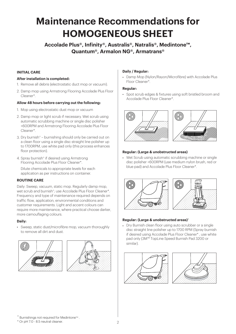### **Maintenance Recommendations for HOMOGENEOUS SHEET**

**Accolade Plus®, Infinity®, Australis®, Natralis®, Medintone™, Quantum®, Armalon NG®, Armatrans®** 

#### **INITIAL CARE**

#### **After installation is completed:**

- 1. Remove all debris (electrostatic duct mop or vacuum).
- 2. Damp mop using Armstrong Flooring Accolade Plus Floor Cleaner\*.

#### **Allow 48 hours before carrying out the following:**

- 1. Mop using electrostatic dust mop or vacuum
- 2. Damp mop or light scrub if necessary. Wet scrub using automatic scrubbing machine or single disc polisher <600RPM and Armstrong Flooring Accolade Plus Floor Cleaner\*.
- 3. Dry burnish^ burnishing should only be carried out on a clean floor using a single disc straight line polisher up to 1700RPM, use white pad only (this process enhances floor protection).
- 4. Spray burnish^ if desired using Armstrong Flooring Accolade Plus Floor Cleaner\*.

Dilute chemicals to appropriate levels for each application as per instructions on container.

#### **ROUTINE CARE**

Daily: Sweep, vacuum, static mop. Regularly damp mop, wet scrub and burnish^ ; use Accolade Plus Floor Cleaner\*. Frequency and type of maintenance required depends on traffic flow, application, environmental conditions and customer requirements. Light and accent colours can require more maintenance, where practical choose darker, more camouflaging colours.

#### **Daily:**

• Sweep, static dust/microfibre mop, vacuum thoroughly to remove all dirt and dust.





#### **Daily / Regular:**

• Damp Mop (Nylon/Rayon/Microfibre) with Accolade Plus Floor Cleaner\*.

#### **Regular:**

• Spot scrub edges & fixtures using soft bristled broom and Accolade Plus Floor Cleaner\*.



#### **Regular: (Large & unobstructed areas)**

• Wet Scrub using automatic scrubbing machine or single disc polisher <600RPM (use medium nylon brush, red or blue pad) and Accolade Plus Floor Cleaner\*.



#### **Regular: (Large & unobstructed areas)^**

• Dry Burnish clean floor using auto scrubber or a single disc straight line polisher up to 1700 RPM (Spray burnish if desired using Accolade Plus Floor Cleaner\* , use white pad only (3M™ TopLine Speed Burnish Pad 3200 or similar).





\* Or pH 7.0 - 8.5 neutral cleaner.